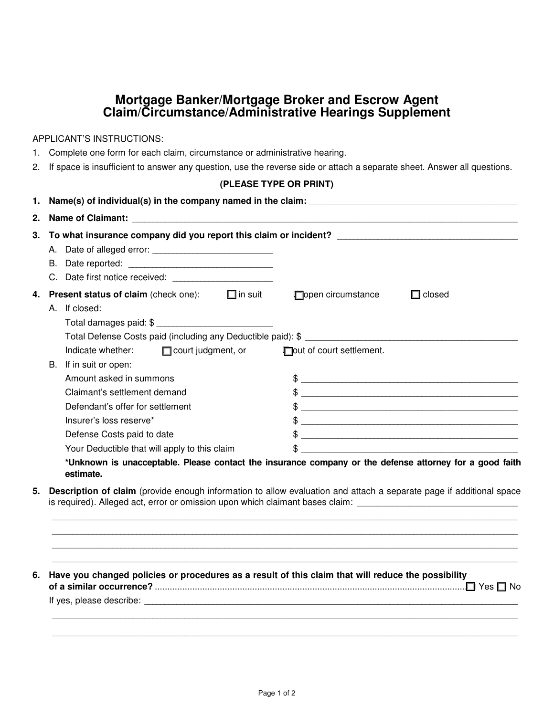## **Mortgage Banker/Mortgage Broker and Escrow Agent Claim/Circumstance/Administrative Hearings Supplement**

APPLICANT'S INSTRUCTIONS:

- 1. Complete one form for each claim, circumstance or administrative hearing.
- 2. If space is insufficient to answer any question, use the reverse side or attach a separate sheet. Answer all questions.

## **(PLEASE TYPE OR PRINT)**

| 2. |                                                                                                                                                                                                                                       |                                                                                                         |
|----|---------------------------------------------------------------------------------------------------------------------------------------------------------------------------------------------------------------------------------------|---------------------------------------------------------------------------------------------------------|
| 3. | To what insurance company did you report this claim or incident? ___________________________________                                                                                                                                  |                                                                                                         |
|    |                                                                                                                                                                                                                                       |                                                                                                         |
|    |                                                                                                                                                                                                                                       |                                                                                                         |
|    | C. Date first notice received: _________________________                                                                                                                                                                              |                                                                                                         |
| 4. | <b>Present status of claim</b> (check one): $\Box$ in suit                                                                                                                                                                            | open circumstance<br>$\Box$ closed                                                                      |
|    | A. If closed:                                                                                                                                                                                                                         |                                                                                                         |
|    |                                                                                                                                                                                                                                       |                                                                                                         |
|    |                                                                                                                                                                                                                                       |                                                                                                         |
|    | Indicate whether:<br>$\Box$ court judgment, or                                                                                                                                                                                        | Tout of court settlement.                                                                               |
|    | B. If in suit or open:                                                                                                                                                                                                                |                                                                                                         |
|    | Amount asked in summons                                                                                                                                                                                                               | $\frac{1}{2}$                                                                                           |
|    | Claimant's settlement demand                                                                                                                                                                                                          | $\frac{1}{2}$                                                                                           |
|    | Defendant's offer for settlement                                                                                                                                                                                                      | $\frac{1}{2}$                                                                                           |
|    | Insurer's loss reserve*                                                                                                                                                                                                               | $\frac{1}{2}$                                                                                           |
|    | Defense Costs paid to date                                                                                                                                                                                                            | $\frac{1}{2}$                                                                                           |
|    | Your Deductible that will apply to this claim                                                                                                                                                                                         | $\frac{1}{2}$                                                                                           |
|    | estimate.                                                                                                                                                                                                                             | *Unknown is unacceptable. Please contact the insurance company or the defense attorney for a good faith |
| 5. | Description of claim (provide enough information to allow evaluation and attach a separate page if additional space<br>is required). Alleged act, error or omission upon which claimant bases claim: ________________________________ |                                                                                                         |
|    |                                                                                                                                                                                                                                       | ,我们也不能在这里的人,我们也不能在这里的人,我们也不能在这里的人,我们也不能在这里的人,我们也不能在这里的人,我们也不能在这里的人,我们也不能在这里的人,我们也                       |
| 6. | Have you changed policies or procedures as a result of this claim that will reduce the possibility                                                                                                                                    |                                                                                                         |
|    |                                                                                                                                                                                                                                       |                                                                                                         |

 \_\_\_\_\_\_\_\_\_\_\_\_\_\_\_\_\_\_\_\_\_\_\_\_\_\_\_\_\_\_\_\_\_\_\_\_\_\_\_\_\_\_\_\_\_\_\_\_\_\_\_\_\_\_\_\_\_\_\_\_\_\_\_\_\_\_\_\_\_\_\_\_\_\_\_\_\_\_\_\_\_\_\_\_\_\_\_\_\_\_\_\_\_\_\_\_\_\_\_\_\_\_\_\_\_\_\_\_\_\_\_\_\_\_\_\_ \_\_\_\_\_\_\_\_\_\_\_\_\_\_\_\_\_\_\_\_\_\_\_\_\_\_\_\_\_\_\_\_\_\_\_\_\_\_\_\_\_\_\_\_\_\_\_\_\_\_\_\_\_\_\_\_\_\_\_\_\_\_\_\_\_\_\_\_\_\_\_\_\_\_\_\_\_\_\_\_\_\_\_\_\_\_\_\_\_\_\_\_\_\_\_\_\_\_\_\_\_\_\_\_\_\_\_\_\_\_\_\_\_\_\_\_